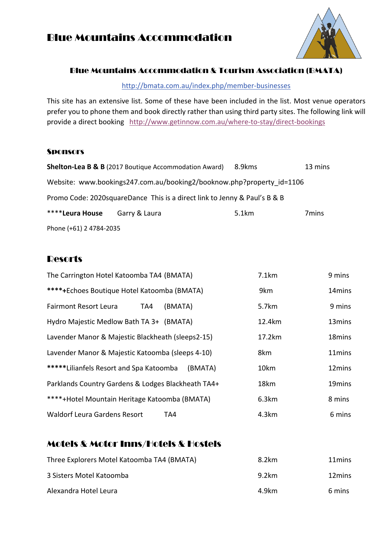### Blue Mountains Accommodation



#### Blue Mountains Accommodation & Tourism Association (BMATA)

http://bmata.com.au/index.php/member-businesses

This site has an extensive list. Some of these have been included in the list. Most venue operators prefer you to phone them and book directly rather than using third party sites. The following link will provide a direct booking http://www.getinnow.com.au/where-to-stay/direct-bookings

#### **Sponsors**

|                         | <b>Shelton-Lea B &amp; B</b> (2017 Boutique Accommodation Award)          | 8.9kms | 13 mins |
|-------------------------|---------------------------------------------------------------------------|--------|---------|
|                         | Website: www.bookings247.com.au/booking2/booknow.php?property id=1106     |        |         |
|                         | Promo Code: 2020squareDance This is a direct link to Jenny & Paul's B & B |        |         |
| ****Leura House         | Garry & Laura                                                             | 5.1km  | 7mins   |
| Phone (+61) 2 4784-2035 |                                                                           |        |         |

### **Resorts**

| The Carrington Hotel Katoomba TA4 (BMATA)          | 7.1km  | 9 mins             |
|----------------------------------------------------|--------|--------------------|
| ****+Echoes Boutique Hotel Katoomba (BMATA)        | 9km    | 14 <sub>mins</sub> |
| <b>Fairmont Resort Leura</b><br>(BMATA)<br>TA4     | 5.7km  | 9 mins             |
| Hydro Majestic Medlow Bath TA 3+ (BMATA)           | 12.4km | 13mins             |
| Lavender Manor & Majestic Blackheath (sleeps2-15)  | 17.2km | 18mins             |
| Lavender Manor & Majestic Katoomba (sleeps 4-10)   | 8km    | 11mins             |
| *****Lilianfels Resort and Spa Katoomba<br>(BMATA) | 10km   | 12mins             |
| Parklands Country Gardens & Lodges Blackheath TA4+ | 18km   | 19mins             |
| ****+Hotel Mountain Heritage Katoomba (BMATA)      | 6.3km  | 8 mins             |
| <b>Waldorf Leura Gardens Resort</b><br>TA4         | 4.3km  | 6 mins             |

### Motels & Motor Inns/Hotels & Hostels

| Three Explorers Motel Katoomba TA4 (BMATA) | 8.2km | 11 mins |
|--------------------------------------------|-------|---------|
| 3 Sisters Motel Katoomba                   | 9.2km | 12mins  |
| Alexandra Hotel Leura                      | 4.9km | 6 mins  |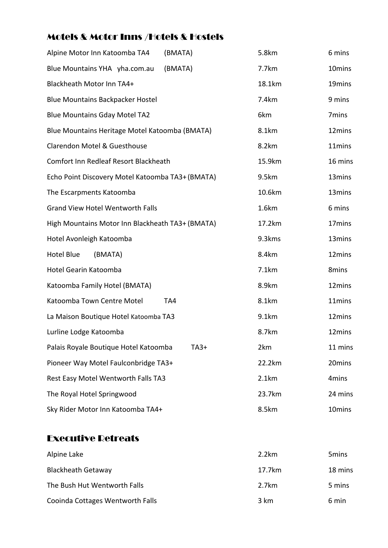# Motels & Motor Inns /Hotels & Hostels

| Alpine Motor Inn Katoomba TA4<br>(BMATA)         | 5.8km  | 6 mins  |
|--------------------------------------------------|--------|---------|
| Blue Mountains YHA yha.com.au<br>(BMATA)         | 7.7km  | 10mins  |
| Blackheath Motor Inn TA4+                        | 18.1km | 19mins  |
| <b>Blue Mountains Backpacker Hostel</b>          | 7.4km  | 9 mins  |
| <b>Blue Mountains Gday Motel TA2</b>             | 6km    | 7mins   |
| Blue Mountains Heritage Motel Katoomba (BMATA)   | 8.1km  | 12mins  |
| Clarendon Motel & Guesthouse                     | 8.2km  | 11mins  |
| Comfort Inn Redleaf Resort Blackheath            | 15.9km | 16 mins |
| Echo Point Discovery Motel Katoomba TA3+ (BMATA) | 9.5km  | 13mins  |
| The Escarpments Katoomba                         | 10.6km | 13mins  |
| <b>Grand View Hotel Wentworth Falls</b>          | 1.6km  | 6 mins  |
| High Mountains Motor Inn Blackheath TA3+ (BMATA) | 17.2km | 17mins  |
| Hotel Avonleigh Katoomba                         | 9.3kms | 13mins  |
| (BMATA)<br><b>Hotel Blue</b>                     | 8.4km  | 12mins  |
| Hotel Gearin Katoomba                            | 7.1km  | 8mins   |
| Katoomba Family Hotel (BMATA)                    | 8.9km  | 12mins  |
| Katoomba Town Centre Motel<br>TA4                | 8.1km  | 11mins  |
| La Maison Boutique Hotel Katoomba TA3            | 9.1km  | 12mins  |
| Lurline Lodge Katoomba                           | 8.7km  | 12mins  |
| Palais Royale Boutique Hotel Katoomba<br>$TA3+$  | 2km    | 11 mins |
| Pioneer Way Motel Faulconbridge TA3+             | 22.2km | 20mins  |
| Rest Easy Motel Wentworth Falls TA3              | 2.1km  | 4mins   |
| The Royal Hotel Springwood                       | 23.7km | 24 mins |
| Sky Rider Motor Inn Katoomba TA4+                | 8.5km  | 10mins  |

### Executive Retreats

| Alpine Lake                      | 2.2km          | 5 <sub>mins</sub> |
|----------------------------------|----------------|-------------------|
| <b>Blackheath Getaway</b>        | 17.7km         | 18 mins           |
| The Bush Hut Wentworth Falls     | 2.7km          | 5 mins            |
| Cooinda Cottages Wentworth Falls | $3 \text{ km}$ | 6 min             |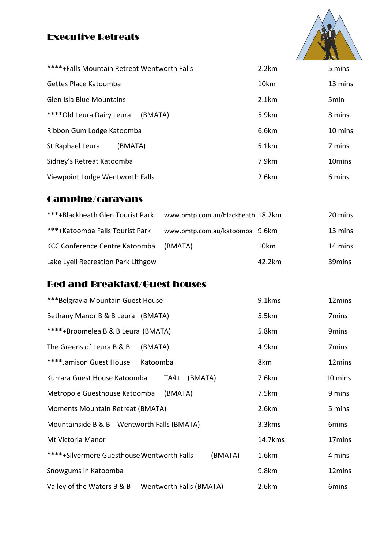# Executive Retreats



| ****+Falls Mountain Retreat Wentworth Falls | 2.2km | 5 mins             |
|---------------------------------------------|-------|--------------------|
| Gettes Place Katoomba                       | 10km  | 13 mins            |
| Glen Isla Blue Mountains                    | 2.1km | 5 <sub>min</sub>   |
| **** Old Leura Dairy Leura<br>(BMATA)       | 5.9km | 8 mins             |
| Ribbon Gum Lodge Katoomba                   | 6.6km | 10 mins            |
| St Raphael Leura<br>(BMATA)                 | 5.1km | 7 mins             |
| Sidney's Retreat Katoomba                   | 7.9km | 10 <sub>mins</sub> |
| Viewpoint Lodge Wentworth Falls             | 2.6km | 6 mins             |

# Camping/caravans

| ***+Blackheath Glen Tourist Park   | www.bmtp.com.au/blackheath 18.2km |        | 20 mins |
|------------------------------------|-----------------------------------|--------|---------|
| ***+Katoomba Falls Tourist Park    | www.bmtp.com.au/katoomba 9.6km    |        | 13 mins |
| KCC Conference Centre Katoomba     | (BMATA)                           | 10km   | 14 mins |
| Lake Lyell Recreation Park Lithgow |                                   | 42.2km | 39mins  |

# Bed and Breakfast/Guest houses

| ***Belgravia Mountain Guest House                     | 9.1kms  | 12mins            |
|-------------------------------------------------------|---------|-------------------|
| Bethany Manor B & B Leura (BMATA)                     | 5.5km   | 7mins             |
| ****+Broomelea B & B Leura (BMATA)                    | 5.8km   | 9mins             |
| The Greens of Leura B & B<br>(BMATA)                  | 4.9km   | 7 <sub>mins</sub> |
| ****Jamison Guest House<br>Katoomba                   | 8km     | 12mins            |
| Kurrara Guest House Katoomba<br>(BMATA)<br>TA4+       | 7.6km   | 10 mins           |
| Metropole Guesthouse Katoomba<br>(BMATA)              | 7.5km   | 9 mins            |
| Moments Mountain Retreat (BMATA)                      | 2.6km   | 5 mins            |
| Mountainside B & B Wentworth Falls (BMATA)            | 3.3kms  | 6mins             |
| Mt Victoria Manor                                     | 14.7kms | 17mins            |
| ****+Silvermere Guesthouse Wentworth Falls<br>(BMATA) | 1.6km   | 4 mins            |
| Snowgums in Katoomba                                  | 9.8km   | 12mins            |
| Wentworth Falls (BMATA)<br>Valley of the Waters B & B | 2.6km   | 6mins             |